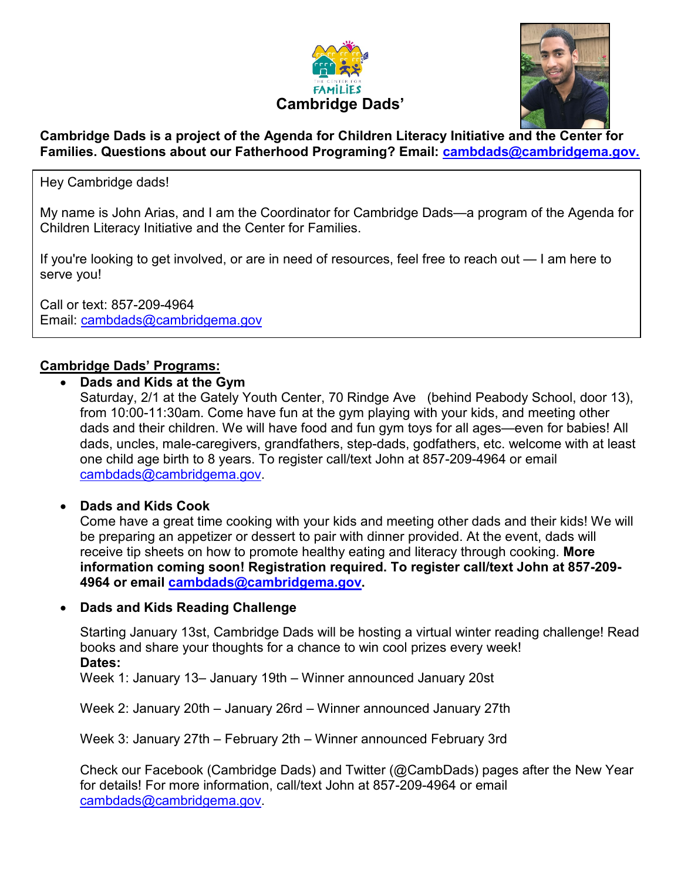



#### **Cambridge Dads is a project of the Agenda for Children Literacy Initiative and the Center for Families. Questions about our Fatherhood Programing? Email: [cambdads@cambridgema.gov.](mailto:cambdads@cambridgema.gov)**

Hey Cambridge dads!

My name is John Arias, and I am the Coordinator for Cambridge Dads—a program of the Agenda for Children Literacy Initiative and the Center for Families.

If you're looking to get involved, or are in need of resources, feel free to reach out — I am here to serve you!

Call or text: 857-209-4964 Email: [cambdads@cambridgema.gov](mailto:cambdads@cambridgema.gov)

### **Cambridge Dads' Programs:**

• **Dads and Kids at the Gym**

Saturday, 2/1 at the Gately Youth Center, 70 Rindge Ave (behind Peabody School, door 13), from 10:00-11:30am. Come have fun at the gym playing with your kids, and meeting other dads and their children. We will have food and fun gym toys for all ages—even for babies! All dads, uncles, male-caregivers, grandfathers, step-dads, godfathers, etc. welcome with at least one child age birth to 8 years. To register call/text John at 857-209-4964 or email [cambdads@cambridgema.gov.](mailto:cambdads@cambridgema.gov)

#### • **Dads and Kids Cook**

Come have a great time cooking with your kids and meeting other dads and their kids! We will be preparing an appetizer or dessert to pair with dinner provided. At the event, dads will receive tip sheets on how to promote healthy eating and literacy through cooking. **More information coming soon! Registration required. To register call/text John at 857-209- 4964 or email [cambdads@cambridgema.gov.](mailto:cambdads@cambridgema.gov)** 

• **Dads and Kids Reading Challenge**

Starting January 13st, Cambridge Dads will be hosting a virtual winter reading challenge! Read books and share your thoughts for a chance to win cool prizes every week! **Dates:**

Week 1: January 13– January 19th – Winner announced January 20st

Week 2: January 20th – January 26rd – Winner announced January 27th

Week 3: January 27th – February 2th – Winner announced February 3rd

Check our Facebook (Cambridge Dads) and Twitter (@CambDads) pages after the New Year for details! For more information, call/text John at 857-209-4964 or email [cambdads@cambridgema.gov.](mailto:cambdads@cambridgema.gov)